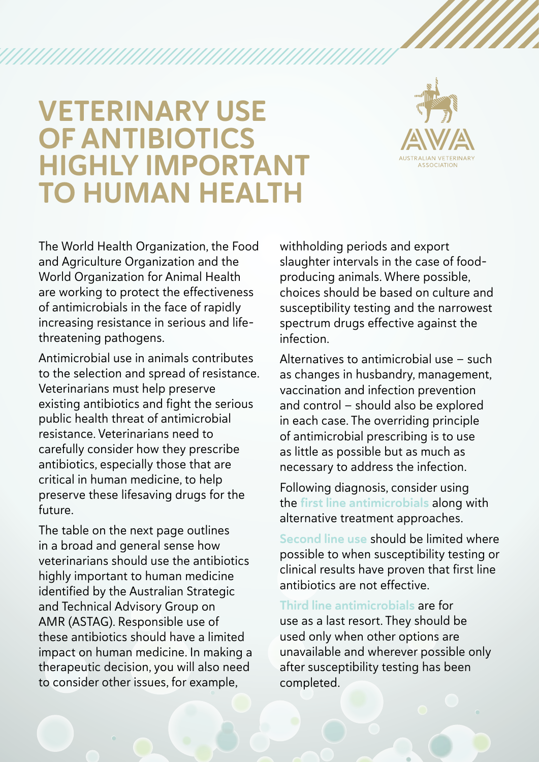## VETERINARY USE OF ANTIBIOTICS HIGHLY IMPORTANT TO HUMAN HEALTH

,,,,,,,,,,,,,,,,,,,,,,,,,,,,



The World Health Organization, the Food and Agriculture Organization and the World Organization for Animal Health are working to protect the effectiveness of antimicrobials in the face of rapidly increasing resistance in serious and lifethreatening pathogens.

Antimicrobial use in animals contributes to the selection and spread of resistance. Veterinarians must help preserve existing antibiotics and fight the serious public health threat of antimicrobial resistance. Veterinarians need to carefully consider how they prescribe antibiotics, especially those that are critical in human medicine, to help preserve these lifesaving drugs for the future.

The table on the next page outlines in a broad and general sense how veterinarians should use the antibiotics highly important to human medicine identified by the Australian Strategic and Technical Advisory Group on AMR (ASTAG). Responsible use of these antibiotics should have a limited impact on human medicine. In making a therapeutic decision, you will also need to consider other issues, for example,

withholding periods and export slaughter intervals in the case of foodproducing animals. Where possible, choices should be based on culture and susceptibility testing and the narrowest spectrum drugs effective against the infection.

Alternatives to antimicrobial use — such as changes in husbandry, management, vaccination and infection prevention and control — should also be explored in each case. The overriding principle of antimicrobial prescribing is to use as little as possible but as much as necessary to address the infection.

Following diagnosis, consider using the first line antimicrobials along with alternative treatment approaches.

Second line use should be limited where possible to when susceptibility testing or clinical results have proven that first line antibiotics are not effective.

Third line antimicrobials are for use as a last resort. They should be used only when other options are unavailable and wherever possible only after susceptibility testing has been completed.